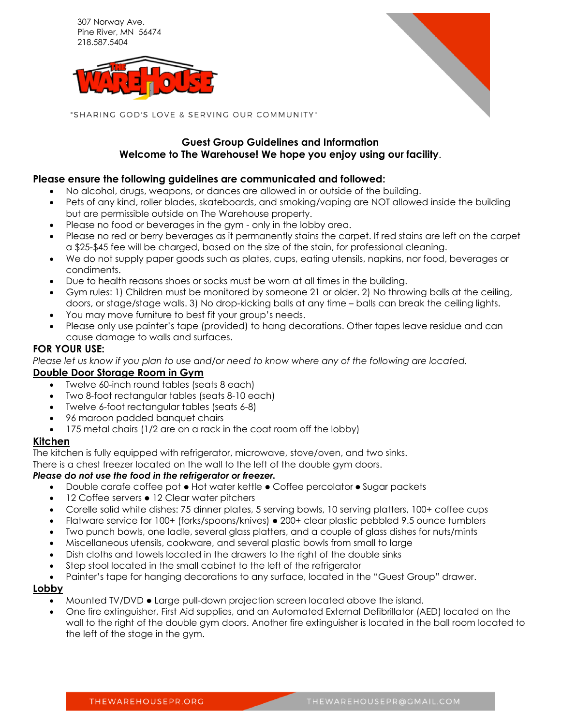307 Norway Ave. Pine River, MN 56474 218.587.5404





"SHARING GOD'S LOVE & SERVING OUR COMMUNITY"

# **Guest Group Guidelines and Information Welcome to The Warehouse! We hope you enjoy using our facility**.

## **Please ensure the following guidelines are communicated and followed:**

- No alcohol, drugs, weapons, or dances are allowed in or outside of the building.
- Pets of any kind, roller blades, skateboards, and smoking/vaping are NOT allowed inside the building but are permissible outside on The Warehouse property.
- Please no food or beverages in the gym only in the lobby area.
- Please no red or berry beverages as it permanently stains the carpet. If red stains are left on the carpet a \$25-\$45 fee will be charged, based on the size of the stain, for professional cleaning.
- We do not supply paper goods such as plates, cups, eating utensils, napkins, nor food, beverages or condiments.
- Due to health reasons shoes or socks must be worn at all times in the building.
- Gym rules: 1) Children must be monitored by someone 21 or older. 2) No throwing balls at the ceiling, doors, or stage/stage walls. 3) No drop-kicking balls at any time – balls can break the ceiling lights.
- You may move furniture to best fit your group's needs.
- Please only use painter's tape (provided) to hang decorations. Other tapes leave residue and can cause damage to walls and surfaces.

#### **FOR YOUR USE:**

*Please let us know if you plan to use and/or need to know where any of the following are located.*

### **Double Door Storage Room in Gym**

- Twelve 60-inch round tables (seats 8 each)
- Two 8-foot rectangular tables (seats 8-10 each)
- Twelve 6-foot rectangular tables (seats 6-8)
- 96 maroon padded banquet chairs
- 175 metal chairs (1/2 are on a rack in the coat room off the lobby)

#### **Kitchen**

The kitchen is fully equipped with refrigerator, microwave, stove/oven, and two sinks.

There is a chest freezer located on the wall to the left of the double gym doors.

#### *Please do not use the food in the refrigerator or freezer.*

- Double carafe coffee pot  $\bullet$  Hot water kettle  $\bullet$  Coffee percolator  $\bullet$  Sugar packets
- 12 Coffee servers 12 Clear water pitchers
- Corelle solid white dishes: 75 dinner plates, 5 serving bowls, 10 serving platters, 100+ coffee cups
- Flatware service for 100+ (forks/spoons/knives) 200+ clear plastic pebbled 9.5 ounce tumblers
- Two punch bowls, one ladle, several glass platters, and a couple of glass dishes for nuts/mints
- Miscellaneous utensils, cookware, and several plastic bowls from small to large
- Dish cloths and towels located in the drawers to the right of the double sinks
- Step stool located in the small cabinet to the left of the refrigerator
- Painter's tape for hanging decorations to any surface, located in the "Guest Group" drawer.

#### **Lobby**

- Mounted TV/DVD Large pull-down projection screen located above the island.
- One fire extinguisher, First Aid supplies, and an Automated External Defibrillator (AED) located on the wall to the right of the double gym doors. Another fire extinguisher is located in the ball room located to the left of the stage in the gym.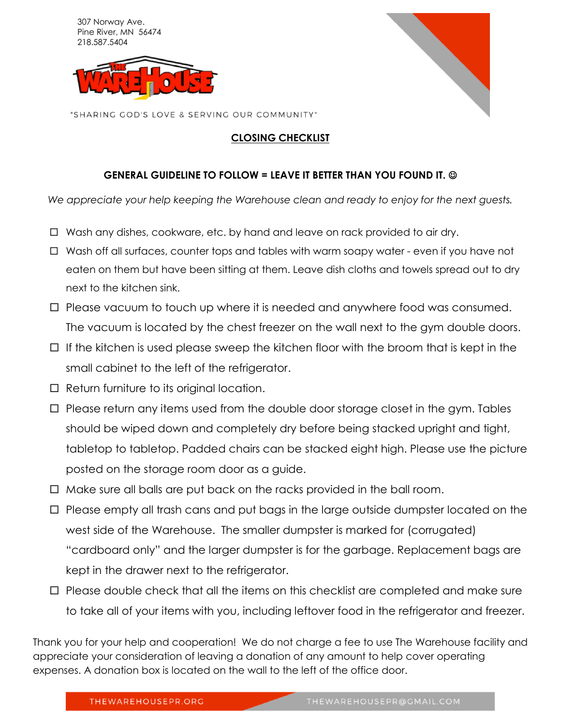307 Norway Ave. Pine River, MN 56474 218.587.5404





"SHARING GOD'S LOVE & SERVING OUR COMMUNITY"

# **CLOSING CHECKLIST**

# **GENERAL GUIDELINE TO FOLLOW = LEAVE IT BETTER THAN YOU FOUND IT.**

*We appreciate your help keeping the Warehouse clean and ready to enjoy for the next guests.*

- $\Box$  Wash any dishes, cookware, etc. by hand and leave on rack provided to air dry.
- $\Box$  Wash off all surfaces, counter tops and tables with warm soapy water even if you have not eaten on them but have been sitting at them. Leave dish cloths and towels spread out to dry next to the kitchen sink.
- $\Box$  Please vacuum to touch up where it is needed and anywhere food was consumed. The vacuum is located by the chest freezer on the wall next to the gym double doors.
- $\Box$  If the kitchen is used please sweep the kitchen floor with the broom that is kept in the small cabinet to the left of the refrigerator.
- $\Box$  Return furniture to its original location.
- $\Box$  Please return any items used from the double door storage closet in the gym. Tables should be wiped down and completely dry before being stacked upright and tight, tabletop to tabletop. Padded chairs can be stacked eight high. Please use the picture posted on the storage room door as a guide.
- $\Box$  Make sure all balls are put back on the racks provided in the ball room.
- $\Box$  Please empty all trash cans and put bags in the large outside dumpster located on the west side of the Warehouse. The smaller dumpster is marked for (corrugated) "cardboard only" and the larger dumpster is for the garbage. Replacement bags are kept in the drawer next to the refrigerator.
- $\Box$  Please double check that all the items on this checklist are completed and make sure to take all of your items with you, including leftover food in the refrigerator and freezer.

Thank you for your help and cooperation! We do not charge a fee to use The Warehouse facility and appreciate your consideration of leaving a donation of any amount to help cover operating expenses. A donation box is located on the wall to the left of the office door.